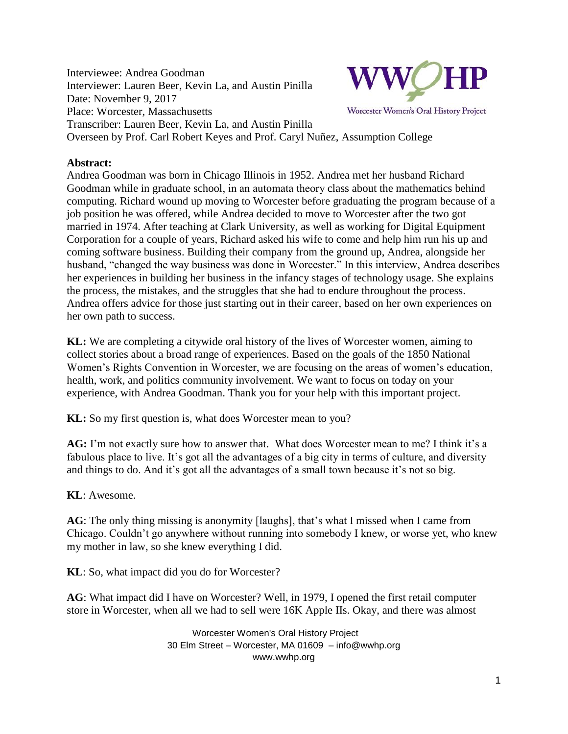Interviewee: Andrea Goodman Interviewer: Lauren Beer, Kevin La, and Austin Pinilla Date: November 9, 2017 Place: Worcester, Massachusetts Transcriber: Lauren Beer, Kevin La, and Austin Pinilla Overseen by Prof. Carl Robert Keyes and Prof. Caryl Nuñez, Assumption College



Worcester Women's Oral History Project

**Abstract:**

Andrea Goodman was born in Chicago Illinois in 1952. Andrea met her husband Richard Goodman while in graduate school, in an automata theory class about the mathematics behind computing. Richard wound up moving to Worcester before graduating the program because of a job position he was offered, while Andrea decided to move to Worcester after the two got married in 1974. After teaching at Clark University, as well as working for Digital Equipment Corporation for a couple of years, Richard asked his wife to come and help him run his up and coming software business. Building their company from the ground up, Andrea, alongside her husband, "changed the way business was done in Worcester." In this interview, Andrea describes her experiences in building her business in the infancy stages of technology usage. She explains the process, the mistakes, and the struggles that she had to endure throughout the process. Andrea offers advice for those just starting out in their career, based on her own experiences on her own path to success.

**KL:** We are completing a citywide oral history of the lives of Worcester women, aiming to collect stories about a broad range of experiences. Based on the goals of the 1850 National Women's Rights Convention in Worcester, we are focusing on the areas of women's education, health, work, and politics community involvement. We want to focus on today on your experience, with Andrea Goodman. Thank you for your help with this important project.

**KL:** So my first question is, what does Worcester mean to you?

**AG:** I'm not exactly sure how to answer that. What does Worcester mean to me? I think it's a fabulous place to live. It's got all the advantages of a big city in terms of culture, and diversity and things to do. And it's got all the advantages of a small town because it's not so big.

**KL**: Awesome.

**AG**: The only thing missing is anonymity [laughs], that's what I missed when I came from Chicago. Couldn't go anywhere without running into somebody I knew, or worse yet, who knew my mother in law, so she knew everything I did.

**KL**: So, what impact did you do for Worcester?

**AG**: What impact did I have on Worcester? Well, in 1979, I opened the first retail computer store in Worcester, when all we had to sell were 16K Apple IIs. Okay, and there was almost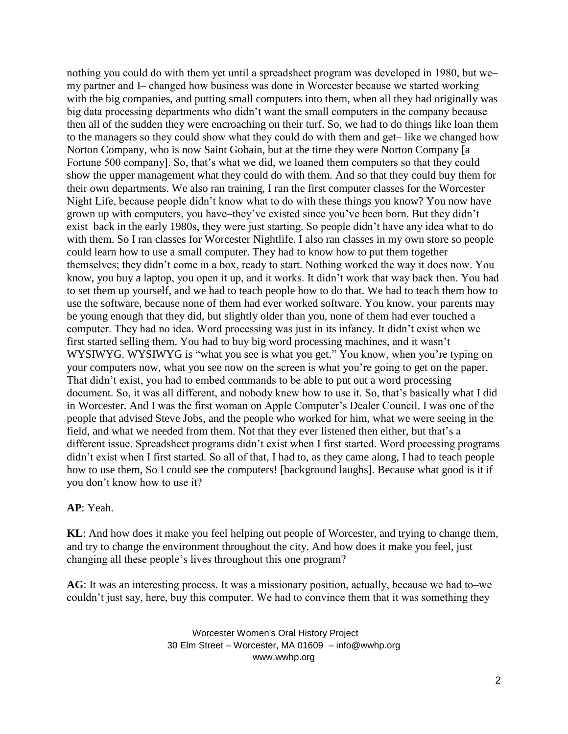nothing you could do with them yet until a spreadsheet program was developed in 1980, but we my partner and I- changed how business was done in Worcester because we started working with the big companies, and putting small computers into them, when all they had originally was big data processing departments who didn't want the small computers in the company because then all of the sudden they were encroaching on their turf. So, we had to do things like loan them to the managers so they could show what they could do with them and get-like we changed how Norton Company, who is now Saint Gobain, but at the time they were Norton Company [a Fortune 500 company]. So, that's what we did, we loaned them computers so that they could show the upper management what they could do with them. And so that they could buy them for their own departments. We also ran training, I ran the first computer classes for the Worcester Night Life, because people didn't know what to do with these things you know? You now have grown up with computers, you have–they've existed since you've been born. But they didn't exist back in the early 1980s, they were just starting. So people didn't have any idea what to do with them. So I ran classes for Worcester Nightlife. I also ran classes in my own store so people could learn how to use a small computer. They had to know how to put them together themselves; they didn't come in a box, ready to start. Nothing worked the way it does now. You know, you buy a laptop, you open it up, and it works. It didn't work that way back then. You had to set them up yourself, and we had to teach people how to do that. We had to teach them how to use the software, because none of them had ever worked software. You know, your parents may be young enough that they did, but slightly older than you, none of them had ever touched a computer. They had no idea. Word processing was just in its infancy. It didn't exist when we first started selling them. You had to buy big word processing machines, and it wasn't WYSIWYG. WYSIWYG is "what you see is what you get." You know, when you're typing on your computers now, what you see now on the screen is what you're going to get on the paper. That didn't exist, you had to embed commands to be able to put out a word processing document. So, it was all different, and nobody knew how to use it. So, that's basically what I did in Worcester. And I was the first woman on Apple Computer's Dealer Council. I was one of the people that advised Steve Jobs, and the people who worked for him, what we were seeing in the field, and what we needed from them. Not that they ever listened then either, but that's a different issue. Spreadsheet programs didn't exist when I first started. Word processing programs didn't exist when I first started. So all of that, I had to, as they came along, I had to teach people how to use them, So I could see the computers! [background laughs]. Because what good is it if you don't know how to use it?

## **AP**: Yeah.

**KL**: And how does it make you feel helping out people of Worcester, and trying to change them, and try to change the environment throughout the city. And how does it make you feel, just changing all these people's lives throughout this one program?

AG: It was an interesting process. It was a missionary position, actually, because we had to—we couldn't just say, here, buy this computer. We had to convince them that it was something they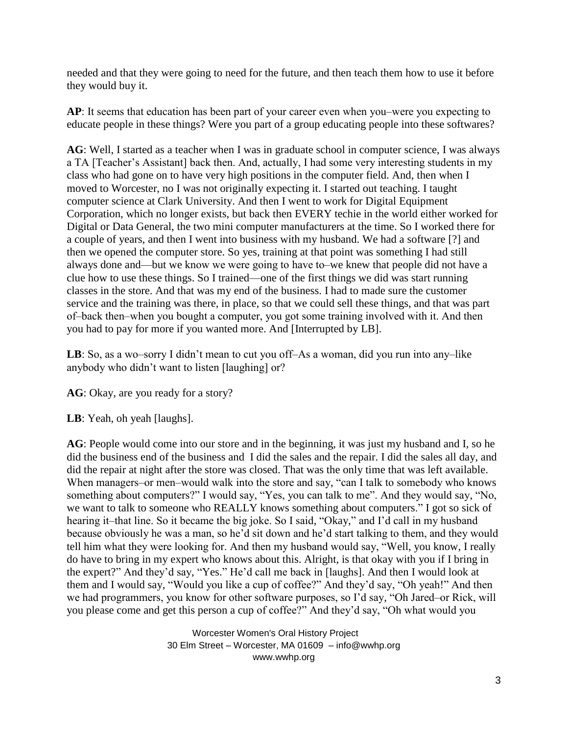needed and that they were going to need for the future, and then teach them how to use it before they would buy it.

**AP**: It seems that education has been part of your career even when you—were you expecting to educate people in these things? Were you part of a group educating people into these softwares?

**AG**: Well, I started as a teacher when I was in graduate school in computer science, I was always a TA [Teacher's Assistant] back then. And, actually, I had some very interesting students in my class who had gone on to have very high positions in the computer field. And, then when I moved to Worcester, no I was not originally expecting it. I started out teaching. I taught computer science at Clark University. And then I went to work for Digital Equipment Corporation, which no longer exists, but back then EVERY techie in the world either worked for Digital or Data General, the two mini computer manufacturers at the time. So I worked there for a couple of years, and then I went into business with my husband. We had a software [?] and then we opened the computer store. So yes, training at that point was something I had still always done and—but we know we were going to have to—we knew that people did not have a clue how to use these things. So I trained—one of the first things we did was start running classes in the store. And that was my end of the business. I had to made sure the customer service and the training was there, in place, so that we could sell these things, and that was part of-back then-when you bought a computer, you got some training involved with it. And then you had to pay for more if you wanted more. And [Interrupted by LB].

LB: So, as a wo-sorry I didn't mean to cut you off-As a woman, did you run into any-like anybody who didn't want to listen [laughing] or?

AG: Okay, are you ready for a story?

**LB**: Yeah, oh yeah [laughs].

**AG**: People would come into our store and in the beginning, it was just my husband and I, so he did the business end of the business and I did the sales and the repair. I did the sales all day, and did the repair at night after the store was closed. That was the only time that was left available. When managers–or men–would walk into the store and say, "can I talk to somebody who knows something about computers?" I would say, "Yes, you can talk to me". And they would say, "No, we want to talk to someone who REALLY knows something about computers." I got so sick of hearing it—that line. So it became the big joke. So I said, "Okay," and I'd call in my husband because obviously he was a man, so he'd sit down and he'd start talking to them, and they would tell him what they were looking for. And then my husband would say, "Well, you know, I really do have to bring in my expert who knows about this. Alright, is that okay with you if I bring in the expert?" And they'd say, "Yes." He'd call me back in [laughs]. And then I would look at them and I would say, "Would you like a cup of coffee?" And they'd say, "Oh yeah!" And then we had programmers, you know for other software purposes, so I'd say, "Oh Jared–or Rick, will you please come and get this person a cup of coffee?" And they'd say, "Oh what would you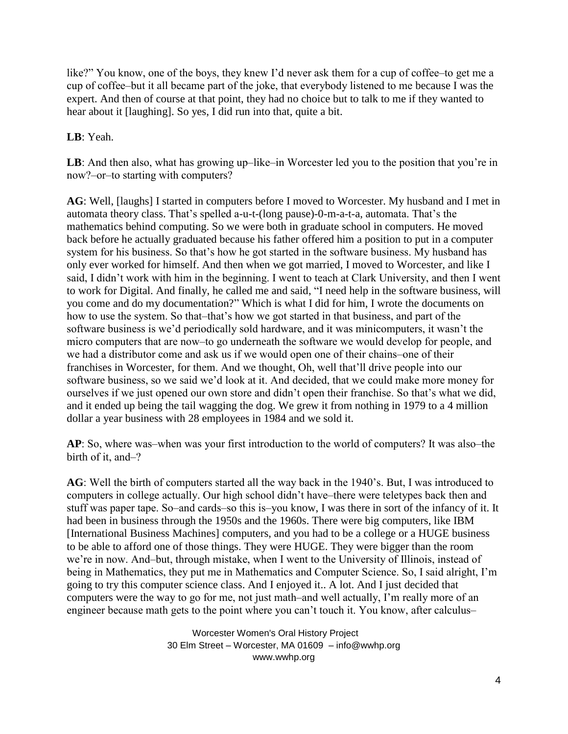like?" You know, one of the boys, they knew I'd never ask them for a cup of coffee–to get me a cup of coffee–but it all became part of the joke, that everybody listened to me because I was the expert. And then of course at that point, they had no choice but to talk to me if they wanted to hear about it [laughing]. So yes, I did run into that, quite a bit.

## **LB**: Yeah.

**LB**: And then also, what has growing up–like–in Worcester led you to the position that you're in now?‒or‒to starting with computers?

**AG**: Well, [laughs] I started in computers before I moved to Worcester. My husband and I met in automata theory class. That's spelled a-u-t-(long pause)-0-m-a-t-a, automata. That's the mathematics behind computing. So we were both in graduate school in computers. He moved back before he actually graduated because his father offered him a position to put in a computer system for his business. So that's how he got started in the software business. My husband has only ever worked for himself. And then when we got married, I moved to Worcester, and like I said, I didn't work with him in the beginning. I went to teach at Clark University, and then I went to work for Digital. And finally, he called me and said, "I need help in the software business, will you come and do my documentation?" Which is what I did for him, I wrote the documents on how to use the system. So that-that's how we got started in that business, and part of the software business is we'd periodically sold hardware, and it was minicomputers, it wasn't the micro computers that are now-to go underneath the software we would develop for people, and we had a distributor come and ask us if we would open one of their chains-one of their franchises in Worcester, for them. And we thought, Oh, well that'll drive people into our software business, so we said we'd look at it. And decided, that we could make more money for ourselves if we just opened our own store and didn't open their franchise. So that's what we did, and it ended up being the tail wagging the dog. We grew it from nothing in 1979 to a 4 million dollar a year business with 28 employees in 1984 and we sold it.

AP: So, where was—when was your first introduction to the world of computers? It was also—the birth of it, and-?

**AG**: Well the birth of computers started all the way back in the 1940's. But, I was introduced to computers in college actually. Our high school didn't have–there were teletypes back then and stuff was paper tape. So-and cards-so this is-you know, I was there in sort of the infancy of it. It had been in business through the 1950s and the 1960s. There were big computers, like IBM [International Business Machines] computers, and you had to be a college or a HUGE business to be able to afford one of those things. They were HUGE. They were bigger than the room we're in now. And-but, through mistake, when I went to the University of Illinois, instead of being in Mathematics, they put me in Mathematics and Computer Science. So, I said alright, I'm going to try this computer science class. And I enjoyed it.. A lot. And I just decided that computers were the way to go for me, not just math–and well actually, I'm really more of an engineer because math gets to the point where you can't touch it. You know, after calculus–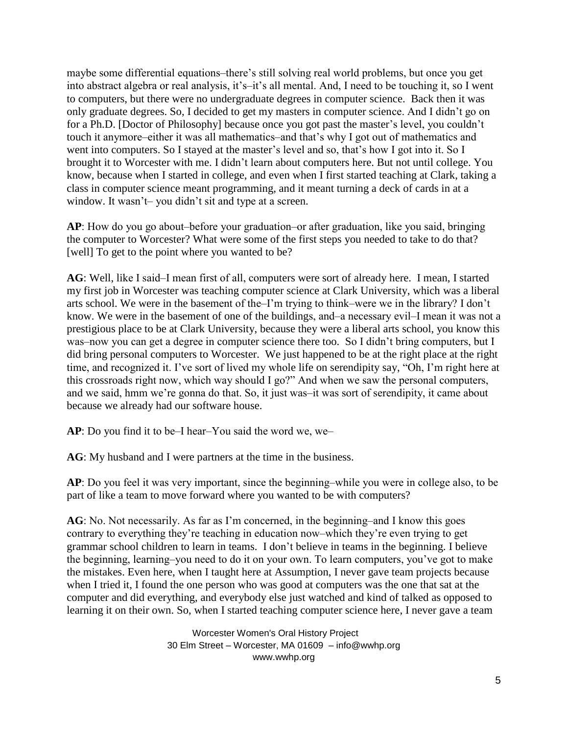maybe some differential equations–there's still solving real world problems, but once you get into abstract algebra or real analysis, it's-it's all mental. And, I need to be touching it, so I went to computers, but there were no undergraduate degrees in computer science. Back then it was only graduate degrees. So, I decided to get my masters in computer science. And I didn't go on for a Ph.D. [Doctor of Philosophy] because once you got past the master's level, you couldn't touch it anymore–either it was all mathematics–and that's why I got out of mathematics and went into computers. So I stayed at the master's level and so, that's how I got into it. So I brought it to Worcester with me. I didn't learn about computers here. But not until college. You know, because when I started in college, and even when I first started teaching at Clark, taking a class in computer science meant programming, and it meant turning a deck of cards in at a window. It wasn't – you didn't sit and type at a screen.

**AP**: How do you go about-before your graduation-or after graduation, like you said, bringing the computer to Worcester? What were some of the first steps you needed to take to do that? [well] To get to the point where you wanted to be?

**AG**: Well, like I said–I mean first of all, computers were sort of already here. I mean, I started my first job in Worcester was teaching computer science at Clark University, which was a liberal arts school. We were in the basement of the–I'm trying to think–were we in the library? I don't know. We were in the basement of one of the buildings, and–a necessary evil–I mean it was not a prestigious place to be at Clark University, because they were a liberal arts school, you know this was—now you can get a degree in computer science there too. So I didn't bring computers, but I did bring personal computers to Worcester. We just happened to be at the right place at the right time, and recognized it. I've sort of lived my whole life on serendipity say, "Oh, I'm right here at this crossroads right now, which way should I go?" And when we saw the personal computers, and we said, hmm we're gonna do that. So, it just was-it was sort of serendipity, it came about because we already had our software house.

**AP**: Do you find it to be–I hear–You said the word we, we–

**AG**: My husband and I were partners at the time in the business.

**AP**: Do you feel it was very important, since the beginning—while you were in college also, to be part of like a team to move forward where you wanted to be with computers?

**AG**: No. Not necessarily. As far as I'm concerned, in the beginning–and I know this goes contrary to everything they're teaching in education now—which they're even trying to get grammar school children to learn in teams. I don't believe in teams in the beginning. I believe the beginning, learning–you need to do it on your own. To learn computers, you've got to make the mistakes. Even here, when I taught here at Assumption, I never gave team projects because when I tried it, I found the one person who was good at computers was the one that sat at the computer and did everything, and everybody else just watched and kind of talked as opposed to learning it on their own. So, when I started teaching computer science here, I never gave a team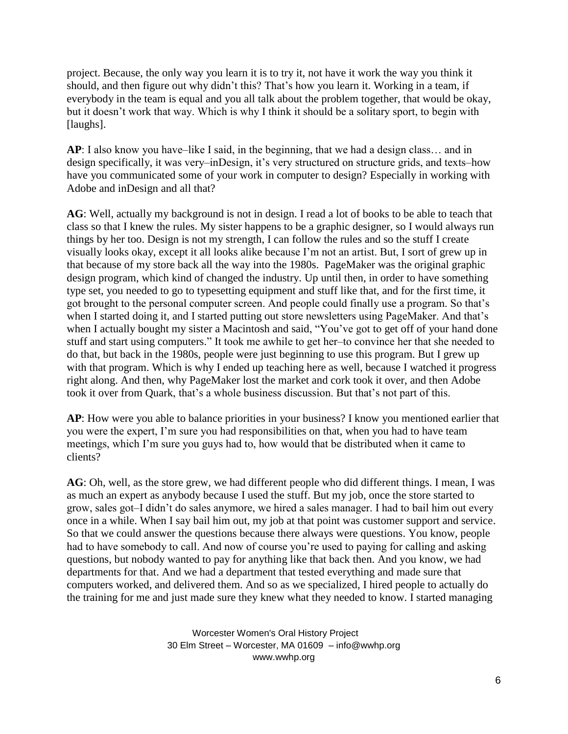project. Because, the only way you learn it is to try it, not have it work the way you think it should, and then figure out why didn't this? That's how you learn it. Working in a team, if everybody in the team is equal and you all talk about the problem together, that would be okay, but it doesn't work that way. Which is why I think it should be a solitary sport, to begin with [laughs].

**AP**: I also know you have–like I said, in the beginning, that we had a design class... and in design specifically, it was very-inDesign, it's very structured on structure grids, and texts-how have you communicated some of your work in computer to design? Especially in working with Adobe and inDesign and all that?

**AG**: Well, actually my background is not in design. I read a lot of books to be able to teach that class so that I knew the rules. My sister happens to be a graphic designer, so I would always run things by her too. Design is not my strength, I can follow the rules and so the stuff I create visually looks okay, except it all looks alike because I'm not an artist. But, I sort of grew up in that because of my store back all the way into the 1980s. PageMaker was the original graphic design program, which kind of changed the industry. Up until then, in order to have something type set, you needed to go to typesetting equipment and stuff like that, and for the first time, it got brought to the personal computer screen. And people could finally use a program. So that's when I started doing it, and I started putting out store newsletters using PageMaker. And that's when I actually bought my sister a Macintosh and said, "You've got to get off of your hand done stuff and start using computers." It took me awhile to get her-to convince her that she needed to do that, but back in the 1980s, people were just beginning to use this program. But I grew up with that program. Which is why I ended up teaching here as well, because I watched it progress right along. And then, why PageMaker lost the market and cork took it over, and then Adobe took it over from Quark, that's a whole business discussion. But that's not part of this.

**AP**: How were you able to balance priorities in your business? I know you mentioned earlier that you were the expert, I'm sure you had responsibilities on that, when you had to have team meetings, which I'm sure you guys had to, how would that be distributed when it came to clients?

**AG**: Oh, well, as the store grew, we had different people who did different things. I mean, I was as much an expert as anybody because I used the stuff. But my job, once the store started to grow, sales got-I didn't do sales anymore, we hired a sales manager. I had to bail him out every once in a while. When I say bail him out, my job at that point was customer support and service. So that we could answer the questions because there always were questions. You know, people had to have somebody to call. And now of course you're used to paying for calling and asking questions, but nobody wanted to pay for anything like that back then. And you know, we had departments for that. And we had a department that tested everything and made sure that computers worked, and delivered them. And so as we specialized, I hired people to actually do the training for me and just made sure they knew what they needed to know. I started managing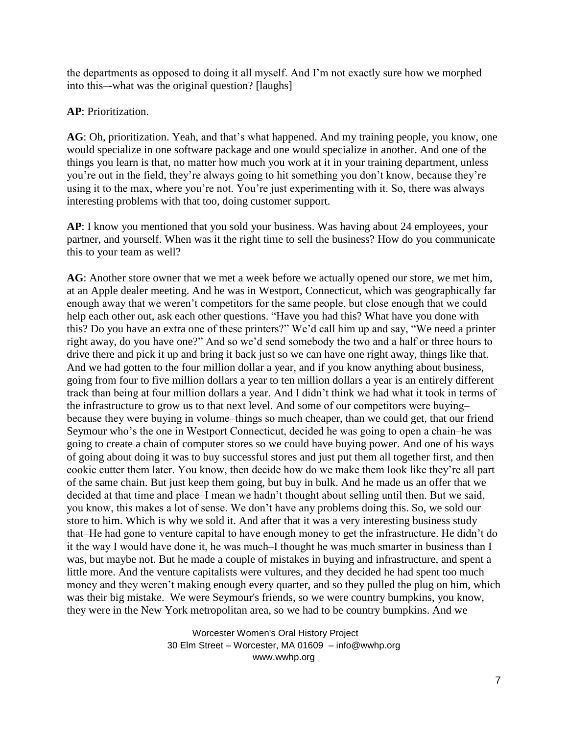the departments as opposed to doing it all myself. And I'm not exactly sure how we morphed into this—what was the original question? [laughs]

**AP**: Prioritization.

**AG**: Oh, prioritization. Yeah, and that's what happened. And my training people, you know, one would specialize in one software package and one would specialize in another. And one of the things you learn is that, no matter how much you work at it in your training department, unless you're out in the field, they're always going to hit something you don't know, because they're using it to the max, where you're not. You're just experimenting with it. So, there was always interesting problems with that too, doing customer support.

**AP**: I know you mentioned that you sold your business. Was having about 24 employees, your partner, and yourself. When was it the right time to sell the business? How do you communicate this to your team as well?

**AG**: Another store owner that we met a week before we actually opened our store, we met him, at an Apple dealer meeting. And he was in Westport, Connecticut, which was geographically far enough away that we weren't competitors for the same people, but close enough that we could help each other out, ask each other questions. "Have you had this? What have you done with this? Do you have an extra one of these printers?" We'd call him up and say, "We need a printer right away, do you have one?" And so we'd send somebody the two and a half or three hours to drive there and pick it up and bring it back just so we can have one right away, things like that. And we had gotten to the four million dollar a year, and if you know anything about business, going from four to five million dollars a year to ten million dollars a year is an entirely different track than being at four million dollars a year. And I didn't think we had what it took in terms of the infrastructure to grow us to that next level. And some of our competitors were buyingbecause they were buying in volume-things so much cheaper, than we could get, that our friend Seymour who's the one in Westport Connecticut, decided he was going to open a chain-he was going to create a chain of computer stores so we could have buying power. And one of his ways of going about doing it was to buy successful stores and just put them all together first, and then cookie cutter them later. You know, then decide how do we make them look like they're all part of the same chain. But just keep them going, but buy in bulk. And he made us an offer that we decided at that time and place–I mean we hadn't thought about selling until then. But we said, you know, this makes a lot of sense. We don't have any problems doing this. So, we sold our store to him. Which is why we sold it. And after that it was a very interesting business study that‒He had gone to venture capital to have enough money to get the infrastructure. He didn't do it the way I would have done it, he was much-I thought he was much smarter in business than I was, but maybe not. But he made a couple of mistakes in buying and infrastructure, and spent a little more. And the venture capitalists were vultures, and they decided he had spent too much money and they weren't making enough every quarter, and so they pulled the plug on him, which was their big mistake. We were Seymour's friends, so we were country bumpkins, you know, they were in the New York metropolitan area, so we had to be country bumpkins. And we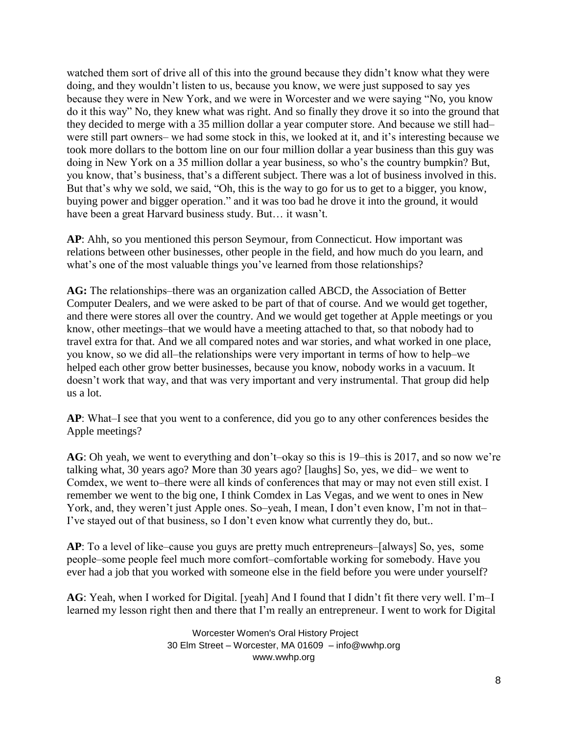watched them sort of drive all of this into the ground because they didn't know what they were doing, and they wouldn't listen to us, because you know, we were just supposed to say yes because they were in New York, and we were in Worcester and we were saying "No, you know do it this way" No, they knew what was right. And so finally they drove it so into the ground that they decided to merge with a 35 million dollar a year computer store. And because we still hadwere still part owners— we had some stock in this, we looked at it, and it's interesting because we took more dollars to the bottom line on our four million dollar a year business than this guy was doing in New York on a 35 million dollar a year business, so who's the country bumpkin? But, you know, that's business, that's a different subject. There was a lot of business involved in this. But that's why we sold, we said, "Oh, this is the way to go for us to get to a bigger, you know, buying power and bigger operation." and it was too bad he drove it into the ground, it would have been a great Harvard business study. But… it wasn't.

**AP**: Ahh, so you mentioned this person Seymour, from Connecticut. How important was relations between other businesses, other people in the field, and how much do you learn, and what's one of the most valuable things you've learned from those relationships?

AG: The relationships–there was an organization called ABCD, the Association of Better Computer Dealers, and we were asked to be part of that of course. And we would get together, and there were stores all over the country. And we would get together at Apple meetings or you know, other meetings-that we would have a meeting attached to that, so that nobody had to travel extra for that. And we all compared notes and war stories, and what worked in one place, you know, so we did all—the relationships were very important in terms of how to help—we helped each other grow better businesses, because you know, nobody works in a vacuum. It doesn't work that way, and that was very important and very instrumental. That group did help us a lot.

**AP**: What–I see that you went to a conference, did you go to any other conferences besides the Apple meetings?

AG: Oh yeah, we went to everything and don't–okay so this is 19–this is 2017, and so now we're talking what, 30 years ago? More than 30 years ago? [laughs] So, yes, we did– we went to Comdex, we went to–there were all kinds of conferences that may or may not even still exist. I remember we went to the big one, I think Comdex in Las Vegas, and we went to ones in New York, and, they weren't just Apple ones. So-yeah, I mean, I don't even know, I'm not in that-I've stayed out of that business, so I don't even know what currently they do, but..

AP: To a level of like–cause you guys are pretty much entrepreneurs–[always] So, yes, some people–some people feel much more comfort–comfortable working for somebody. Have you ever had a job that you worked with someone else in the field before you were under yourself?

AG: Yeah, when I worked for Digital. [yeah] And I found that I didn't fit there very well. I'm–I learned my lesson right then and there that I'm really an entrepreneur. I went to work for Digital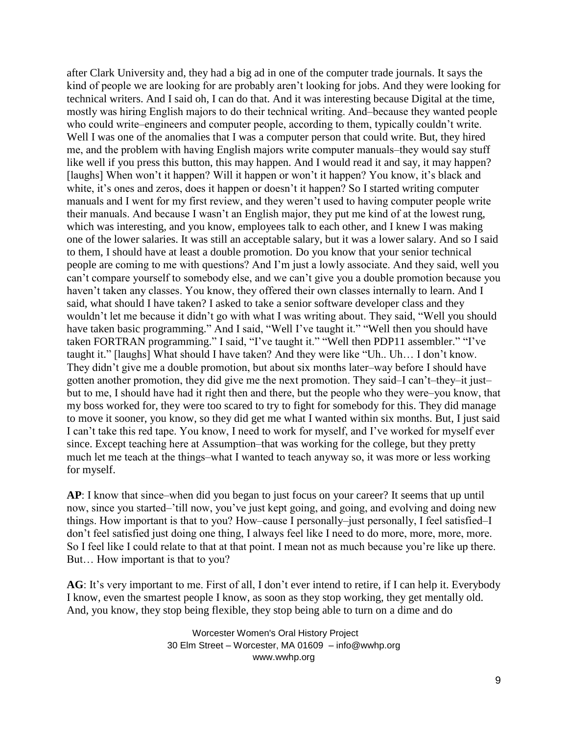after Clark University and, they had a big ad in one of the computer trade journals. It says the kind of people we are looking for are probably aren't looking for jobs. And they were looking for technical writers. And I said oh, I can do that. And it was interesting because Digital at the time, mostly was hiring English majors to do their technical writing. And-because they wanted people who could write–engineers and computer people, according to them, typically couldn't write. Well I was one of the anomalies that I was a computer person that could write. But, they hired me, and the problem with having English majors write computer manuals-they would say stuff like well if you press this button, this may happen. And I would read it and say, it may happen? [laughs] When won't it happen? Will it happen or won't it happen? You know, it's black and white, it's ones and zeros, does it happen or doesn't it happen? So I started writing computer manuals and I went for my first review, and they weren't used to having computer people write their manuals. And because I wasn't an English major, they put me kind of at the lowest rung, which was interesting, and you know, employees talk to each other, and I knew I was making one of the lower salaries. It was still an acceptable salary, but it was a lower salary. And so I said to them, I should have at least a double promotion. Do you know that your senior technical people are coming to me with questions? And I'm just a lowly associate. And they said, well you can't compare yourself to somebody else, and we can't give you a double promotion because you haven't taken any classes. You know, they offered their own classes internally to learn. And I said, what should I have taken? I asked to take a senior software developer class and they wouldn't let me because it didn't go with what I was writing about. They said, "Well you should have taken basic programming." And I said, "Well I've taught it." "Well then you should have taken FORTRAN programming." I said, "I've taught it." "Well then PDP11 assembler." "I've taught it." [laughs] What should I have taken? And they were like "Uh.. Uh… I don't know. They didn't give me a double promotion, but about six months later-way before I should have gotten another promotion, they did give me the next promotion. They said–I can't–they–it just– but to me, I should have had it right then and there, but the people who they were–you know, that my boss worked for, they were too scared to try to fight for somebody for this. They did manage to move it sooner, you know, so they did get me what I wanted within six months. But, I just said I can't take this red tape. You know, I need to work for myself, and I've worked for myself ever since. Except teaching here at Assumption–that was working for the college, but they pretty much let me teach at the things-what I wanted to teach anyway so, it was more or less working for myself.

**AP**: I know that since—when did you began to just focus on your career? It seems that up until now, since you started–'till now, you've just kept going, and going, and evolving and doing new things. How important is that to you? How–cause I personally–just personally, I feel satisfied–I don't feel satisfied just doing one thing, I always feel like I need to do more, more, more, more. So I feel like I could relate to that at that point. I mean not as much because you're like up there. But… How important is that to you?

**AG**: It's very important to me. First of all, I don't ever intend to retire, if I can help it. Everybody I know, even the smartest people I know, as soon as they stop working, they get mentally old. And, you know, they stop being flexible, they stop being able to turn on a dime and do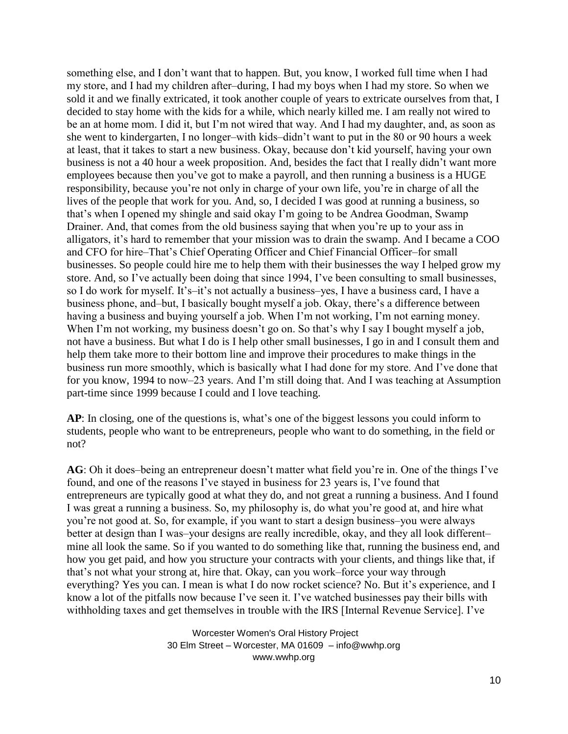something else, and I don't want that to happen. But, you know, I worked full time when I had my store, and I had my children after-during, I had my boys when I had my store. So when we sold it and we finally extricated, it took another couple of years to extricate ourselves from that, I decided to stay home with the kids for a while, which nearly killed me. I am really not wired to be an at home mom. I did it, but I'm not wired that way. And I had my daughter, and, as soon as she went to kindergarten, I no longer-with kids-didn't want to put in the 80 or 90 hours a week at least, that it takes to start a new business. Okay, because don't kid yourself, having your own business is not a 40 hour a week proposition. And, besides the fact that I really didn't want more employees because then you've got to make a payroll, and then running a business is a HUGE responsibility, because you're not only in charge of your own life, you're in charge of all the lives of the people that work for you. And, so, I decided I was good at running a business, so that's when I opened my shingle and said okay I'm going to be Andrea Goodman, Swamp Drainer. And, that comes from the old business saying that when you're up to your ass in alligators, it's hard to remember that your mission was to drain the swamp. And I became a COO and CFO for hire–That's Chief Operating Officer and Chief Financial Officer–for small businesses. So people could hire me to help them with their businesses the way I helped grow my store. And, so I've actually been doing that since 1994, I've been consulting to small businesses, so I do work for myself. It's-it's not actually a business-yes, I have a business card, I have a business phone, and–but, I basically bought myself a job. Okay, there's a difference between having a business and buying yourself a job. When I'm not working, I'm not earning money. When I'm not working, my business doesn't go on. So that's why I say I bought myself a job, not have a business. But what I do is I help other small businesses, I go in and I consult them and help them take more to their bottom line and improve their procedures to make things in the business run more smoothly, which is basically what I had done for my store. And I've done that for you know, 1994 to now–23 years. And I'm still doing that. And I was teaching at Assumption part-time since 1999 because I could and I love teaching.

**AP**: In closing, one of the questions is, what's one of the biggest lessons you could inform to students, people who want to be entrepreneurs, people who want to do something, in the field or not?

AG: Oh it does-being an entrepreneur doesn't matter what field you're in. One of the things I've found, and one of the reasons I've stayed in business for 23 years is, I've found that entrepreneurs are typically good at what they do, and not great a running a business. And I found I was great a running a business. So, my philosophy is, do what you're good at, and hire what you're not good at. So, for example, if you want to start a design business-you were always better at design than I was-your designs are really incredible, okay, and they all look differentmine all look the same. So if you wanted to do something like that, running the business end, and how you get paid, and how you structure your contracts with your clients, and things like that, if that's not what your strong at, hire that. Okay, can you work–force your way through everything? Yes you can. I mean is what I do now rocket science? No. But it's experience, and I know a lot of the pitfalls now because I've seen it. I've watched businesses pay their bills with withholding taxes and get themselves in trouble with the IRS [Internal Revenue Service]. I've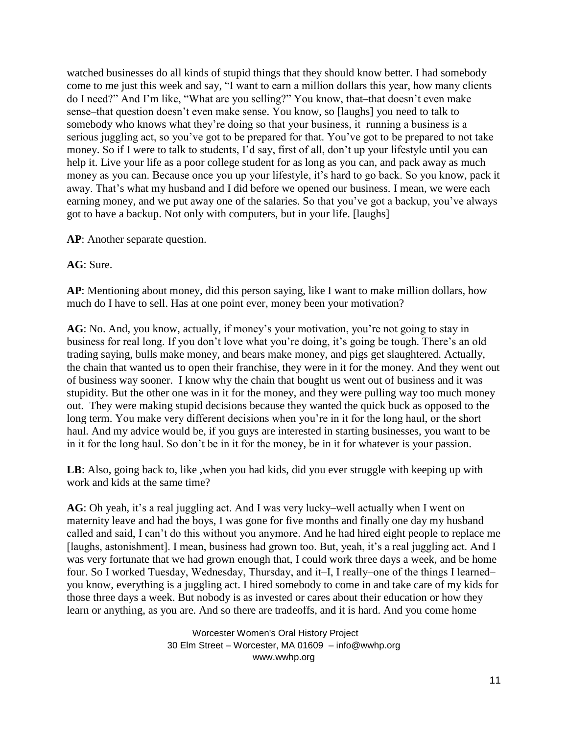watched businesses do all kinds of stupid things that they should know better. I had somebody come to me just this week and say, "I want to earn a million dollars this year, how many clients do I need?" And I'm like, "What are you selling?" You know, that-that doesn't even make sense–that question doesn't even make sense. You know, so [laughs] you need to talk to somebody who knows what they're doing so that your business, it—running a business is a serious juggling act, so you've got to be prepared for that. You've got to be prepared to not take money. So if I were to talk to students, I'd say, first of all, don't up your lifestyle until you can help it. Live your life as a poor college student for as long as you can, and pack away as much money as you can. Because once you up your lifestyle, it's hard to go back. So you know, pack it away. That's what my husband and I did before we opened our business. I mean, we were each earning money, and we put away one of the salaries. So that you've got a backup, you've always got to have a backup. Not only with computers, but in your life. [laughs]

**AP**: Another separate question.

**AG**: Sure.

**AP**: Mentioning about money, did this person saying, like I want to make million dollars, how much do I have to sell. Has at one point ever, money been your motivation?

**AG**: No. And, you know, actually, if money's your motivation, you're not going to stay in business for real long. If you don't love what you're doing, it's going be tough. There's an old trading saying, bulls make money, and bears make money, and pigs get slaughtered. Actually, the chain that wanted us to open their franchise, they were in it for the money. And they went out of business way sooner. I know why the chain that bought us went out of business and it was stupidity. But the other one was in it for the money, and they were pulling way too much money out. They were making stupid decisions because they wanted the quick buck as opposed to the long term. You make very different decisions when you're in it for the long haul, or the short haul. And my advice would be, if you guys are interested in starting businesses, you want to be in it for the long haul. So don't be in it for the money, be in it for whatever is your passion.

LB: Also, going back to, like, when you had kids, did you ever struggle with keeping up with work and kids at the same time?

AG: Oh yeah, it's a real juggling act. And I was very lucky–well actually when I went on maternity leave and had the boys, I was gone for five months and finally one day my husband called and said, I can't do this without you anymore. And he had hired eight people to replace me [laughs, astonishment]. I mean, business had grown too. But, yeah, it's a real juggling act. And I was very fortunate that we had grown enough that, I could work three days a week, and be home four. So I worked Tuesday, Wednesday, Thursday, and it-I, I really-one of the things I learnedyou know, everything is a juggling act. I hired somebody to come in and take care of my kids for those three days a week. But nobody is as invested or cares about their education or how they learn or anything, as you are. And so there are tradeoffs, and it is hard. And you come home